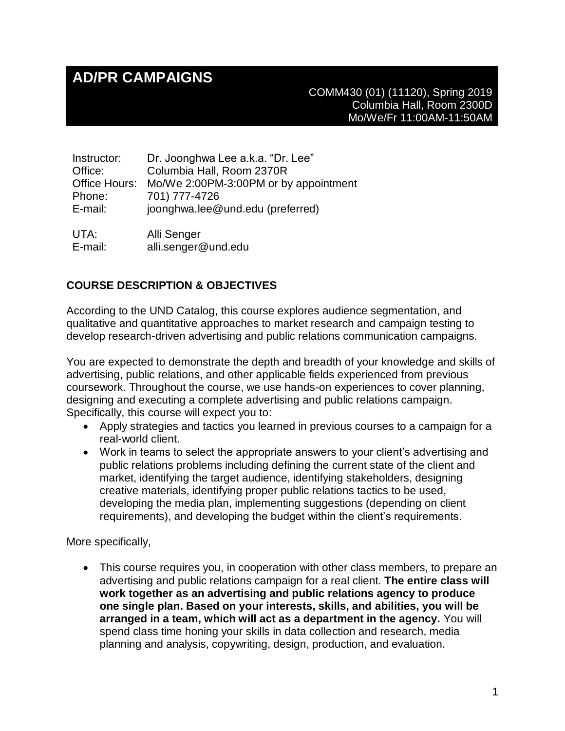# **AD/PR CAMPAIGNS**

COMM430 (01) (11120), Spring 2019 Columbia Hall, Room 2300D Mo/We/Fr 11:00AM-11:50AM

| Instructor:   | Dr. Joonghwa Lee a.k.a. "Dr. Lee"     |
|---------------|---------------------------------------|
| Office:       | Columbia Hall, Room 2370R             |
| Office Hours: | Mo/We 2:00PM-3:00PM or by appointment |
| Phone:        | 701) 777-4726                         |
| E-mail:       | joonghwa.lee@und.edu (preferred)      |
|               |                                       |
| UTA:          | Alli Senger                           |

E-mail: alli.senger@und.edu

## **COURSE DESCRIPTION & OBJECTIVES**

According to the UND Catalog, this course explores audience segmentation, and qualitative and quantitative approaches to market research and campaign testing to develop research-driven advertising and public relations communication campaigns.

You are expected to demonstrate the depth and breadth of your knowledge and skills of advertising, public relations, and other applicable fields experienced from previous coursework. Throughout the course, we use hands-on experiences to cover planning, designing and executing a complete advertising and public relations campaign. Specifically, this course will expect you to:

- Apply strategies and tactics you learned in previous courses to a campaign for a real-world client.
- Work in teams to select the appropriate answers to your client's advertising and public relations problems including defining the current state of the client and market, identifying the target audience, identifying stakeholders, designing creative materials, identifying proper public relations tactics to be used, developing the media plan, implementing suggestions (depending on client requirements), and developing the budget within the client's requirements.

More specifically,

• This course requires you, in cooperation with other class members, to prepare an advertising and public relations campaign for a real client. **The entire class will work together as an advertising and public relations agency to produce one single plan. Based on your interests, skills, and abilities, you will be arranged in a team, which will act as a department in the agency.** You will spend class time honing your skills in data collection and research, media planning and analysis, copywriting, design, production, and evaluation.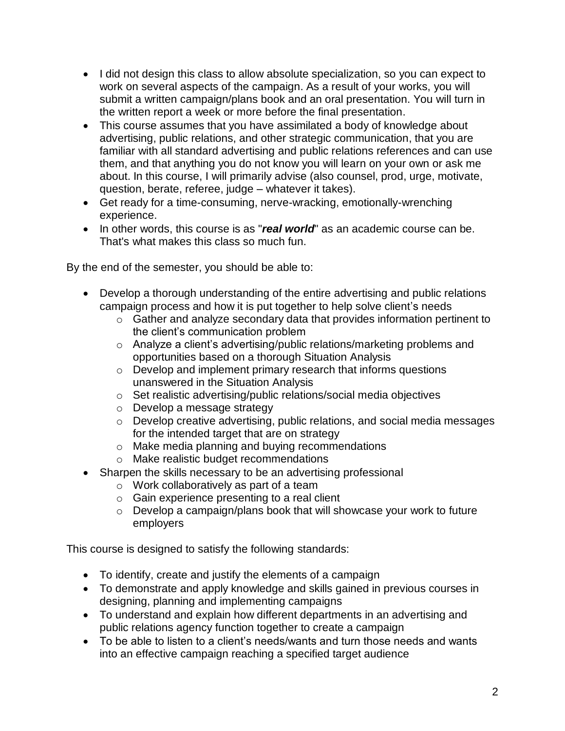- I did not design this class to allow absolute specialization, so you can expect to work on several aspects of the campaign. As a result of your works, you will submit a written campaign/plans book and an oral presentation. You will turn in the written report a week or more before the final presentation.
- This course assumes that you have assimilated a body of knowledge about advertising, public relations, and other strategic communication, that you are familiar with all standard advertising and public relations references and can use them, and that anything you do not know you will learn on your own or ask me about. In this course, I will primarily advise (also counsel, prod, urge, motivate, question, berate, referee, judge – whatever it takes).
- Get ready for a time-consuming, nerve-wracking, emotionally-wrenching experience.
- In other words, this course is as "*real world*" as an academic course can be. That's what makes this class so much fun.

By the end of the semester, you should be able to:

- Develop a thorough understanding of the entire advertising and public relations campaign process and how it is put together to help solve client's needs
	- o Gather and analyze secondary data that provides information pertinent to the client's communication problem
	- o Analyze a client's advertising/public relations/marketing problems and opportunities based on a thorough Situation Analysis
	- o Develop and implement primary research that informs questions unanswered in the Situation Analysis
	- o Set realistic advertising/public relations/social media objectives
	- o Develop a message strategy
	- o Develop creative advertising, public relations, and social media messages for the intended target that are on strategy
	- o Make media planning and buying recommendations
	- o Make realistic budget recommendations
- Sharpen the skills necessary to be an advertising professional
	- o Work collaboratively as part of a team
	- o Gain experience presenting to a real client
	- o Develop a campaign/plans book that will showcase your work to future employers

This course is designed to satisfy the following standards:

- To identify, create and justify the elements of a campaign
- To demonstrate and apply knowledge and skills gained in previous courses in designing, planning and implementing campaigns
- To understand and explain how different departments in an advertising and public relations agency function together to create a campaign
- To be able to listen to a client's needs/wants and turn those needs and wants into an effective campaign reaching a specified target audience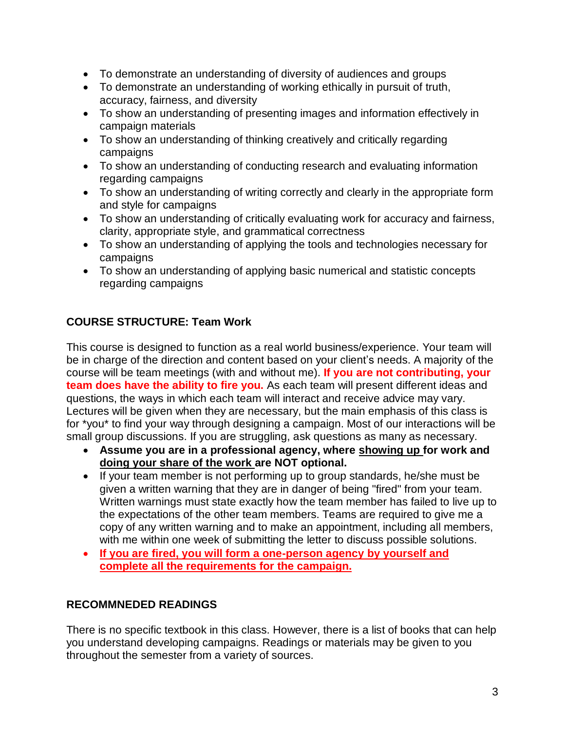- To demonstrate an understanding of diversity of audiences and groups
- To demonstrate an understanding of working ethically in pursuit of truth, accuracy, fairness, and diversity
- To show an understanding of presenting images and information effectively in campaign materials
- To show an understanding of thinking creatively and critically regarding campaigns
- To show an understanding of conducting research and evaluating information regarding campaigns
- To show an understanding of writing correctly and clearly in the appropriate form and style for campaigns
- To show an understanding of critically evaluating work for accuracy and fairness, clarity, appropriate style, and grammatical correctness
- To show an understanding of applying the tools and technologies necessary for campaigns
- To show an understanding of applying basic numerical and statistic concepts regarding campaigns

# **COURSE STRUCTURE: Team Work**

This course is designed to function as a real world business/experience. Your team will be in charge of the direction and content based on your client's needs. A majority of the course will be team meetings (with and without me). **If you are not contributing, your team does have the ability to fire you.** As each team will present different ideas and questions, the ways in which each team will interact and receive advice may vary. Lectures will be given when they are necessary, but the main emphasis of this class is for \*you\* to find your way through designing a campaign. Most of our interactions will be small group discussions. If you are struggling, ask questions as many as necessary.

- **Assume you are in a professional agency, where showing up for work and doing your share of the work are NOT optional.**
- If your team member is not performing up to group standards, he/she must be given a written warning that they are in danger of being "fired" from your team. Written warnings must state exactly how the team member has failed to live up to the expectations of the other team members. Teams are required to give me a copy of any written warning and to make an appointment, including all members, with me within one week of submitting the letter to discuss possible solutions.
- **If you are fired, you will form a one-person agency by yourself and complete all the requirements for the campaign.**

# **RECOMMNEDED READINGS**

There is no specific textbook in this class. However, there is a list of books that can help you understand developing campaigns. Readings or materials may be given to you throughout the semester from a variety of sources.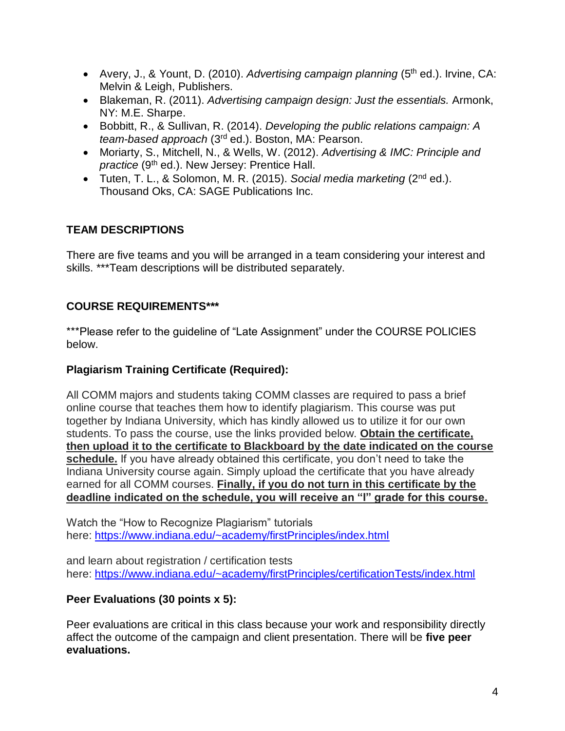- Avery, J., & Yount, D. (2010). *Advertising campaign planning* (5<sup>th</sup> ed.). Irvine, CA: Melvin & Leigh, Publishers.
- Blakeman, R. (2011). *Advertising campaign design: Just the essentials.* Armonk, NY: M.E. Sharpe.
- Bobbitt, R., & Sullivan, R. (2014). *Developing the public relations campaign: A team-based approach* (3rd ed.). Boston, MA: Pearson.
- Moriarty, S., Mitchell, N., & Wells, W. (2012). *Advertising & IMC: Principle and practice* (9<sup>th</sup> ed.). New Jersey: Prentice Hall.
- Tuten, T. L., & Solomon, M. R. (2015). *Social media marketing* (2nd ed.). Thousand Oks, CA: SAGE Publications Inc.

# **TEAM DESCRIPTIONS**

There are five teams and you will be arranged in a team considering your interest and skills. \*\*\*Team descriptions will be distributed separately.

## **COURSE REQUIREMENTS\*\*\***

\*\*\*Please refer to the guideline of "Late Assignment" under the COURSE POLICIES below.

#### **Plagiarism Training Certificate (Required):**

All COMM majors and students taking COMM classes are required to pass a brief online course that teaches them how to identify plagiarism. This course was put together by Indiana University, which has kindly allowed us to utilize it for our own students. To pass the course, use the links provided below. **Obtain the certificate, then upload it to the certificate to Blackboard by the date indicated on the course schedule.** If you have already obtained this certificate, you don't need to take the Indiana University course again. Simply upload the certificate that you have already earned for all COMM courses. **Finally, if you do not turn in this certificate by the deadline indicated on the schedule, you will receive an "I" grade for this course.**

Watch the "How to Recognize Plagiarism" tutorials here: <https://www.indiana.edu/~academy/firstPrinciples/index.html>

and learn about registration / certification tests here: <https://www.indiana.edu/~academy/firstPrinciples/certificationTests/index.html>

#### **Peer Evaluations (30 points x 5):**

Peer evaluations are critical in this class because your work and responsibility directly affect the outcome of the campaign and client presentation. There will be **five peer evaluations.**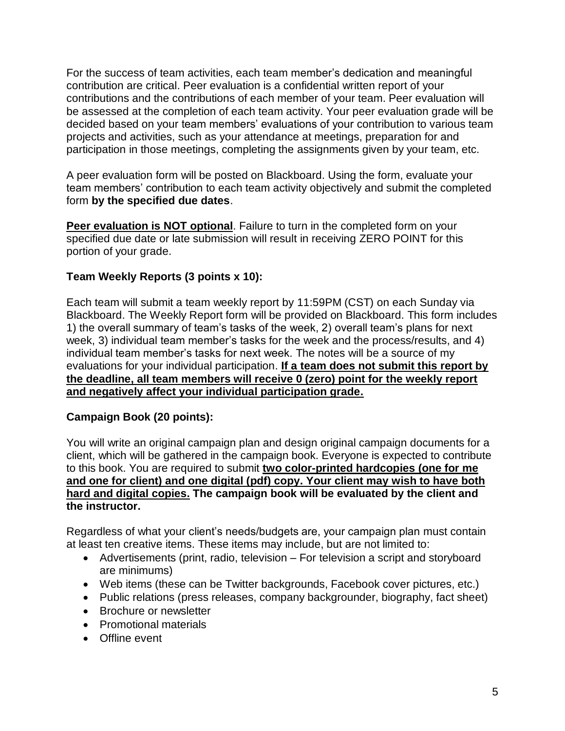For the success of team activities, each team member's dedication and meaningful contribution are critical. Peer evaluation is a confidential written report of your contributions and the contributions of each member of your team. Peer evaluation will be assessed at the completion of each team activity. Your peer evaluation grade will be decided based on your team members' evaluations of your contribution to various team projects and activities, such as your attendance at meetings, preparation for and participation in those meetings, completing the assignments given by your team, etc.

A peer evaluation form will be posted on Blackboard. Using the form, evaluate your team members' contribution to each team activity objectively and submit the completed form **by the specified due dates**.

**Peer evaluation is NOT optional**. Failure to turn in the completed form on your specified due date or late submission will result in receiving ZERO POINT for this portion of your grade.

## **Team Weekly Reports (3 points x 10):**

Each team will submit a team weekly report by 11:59PM (CST) on each Sunday via Blackboard. The Weekly Report form will be provided on Blackboard. This form includes 1) the overall summary of team's tasks of the week, 2) overall team's plans for next week, 3) individual team member's tasks for the week and the process/results, and 4) individual team member's tasks for next week. The notes will be a source of my evaluations for your individual participation. **If a team does not submit this report by the deadline, all team members will receive 0 (zero) point for the weekly report and negatively affect your individual participation grade.**

#### **Campaign Book (20 points):**

You will write an original campaign plan and design original campaign documents for a client, which will be gathered in the campaign book. Everyone is expected to contribute to this book. You are required to submit **two color-printed hardcopies (one for me and one for client) and one digital (pdf) copy. Your client may wish to have both hard and digital copies. The campaign book will be evaluated by the client and the instructor.**

Regardless of what your client's needs/budgets are, your campaign plan must contain at least ten creative items. These items may include, but are not limited to:

- Advertisements (print, radio, television For television a script and storyboard are minimums)
- Web items (these can be Twitter backgrounds, Facebook cover pictures, etc.)
- Public relations (press releases, company backgrounder, biography, fact sheet)
- Brochure or newsletter
- Promotional materials
- Offline event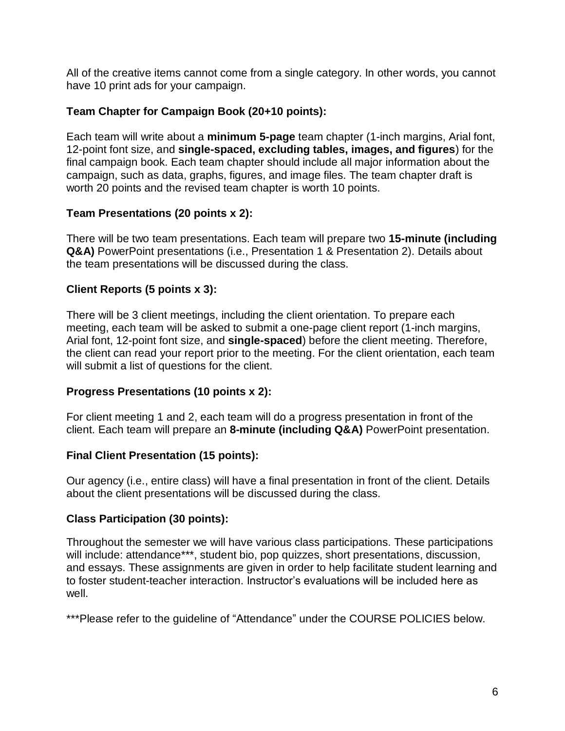All of the creative items cannot come from a single category. In other words, you cannot have 10 print ads for your campaign.

#### **Team Chapter for Campaign Book (20+10 points):**

Each team will write about a **minimum 5-page** team chapter (1-inch margins, Arial font, 12-point font size, and **single-spaced, excluding tables, images, and figures**) for the final campaign book. Each team chapter should include all major information about the campaign, such as data, graphs, figures, and image files. The team chapter draft is worth 20 points and the revised team chapter is worth 10 points.

## **Team Presentations (20 points x 2):**

There will be two team presentations. Each team will prepare two **15-minute (including Q&A)** PowerPoint presentations (i.e., Presentation 1 & Presentation 2). Details about the team presentations will be discussed during the class.

# **Client Reports (5 points x 3):**

There will be 3 client meetings, including the client orientation. To prepare each meeting, each team will be asked to submit a one-page client report (1-inch margins, Arial font, 12-point font size, and **single-spaced**) before the client meeting. Therefore, the client can read your report prior to the meeting. For the client orientation, each team will submit a list of questions for the client.

# **Progress Presentations (10 points x 2):**

For client meeting 1 and 2, each team will do a progress presentation in front of the client. Each team will prepare an **8-minute (including Q&A)** PowerPoint presentation.

# **Final Client Presentation (15 points):**

Our agency (i.e., entire class) will have a final presentation in front of the client. Details about the client presentations will be discussed during the class.

#### **Class Participation (30 points):**

Throughout the semester we will have various class participations. These participations will include: attendance\*\*\*, student bio, pop quizzes, short presentations, discussion, and essays. These assignments are given in order to help facilitate student learning and to foster student-teacher interaction. Instructor's evaluations will be included here as well.

\*\*\*Please refer to the guideline of "Attendance" under the COURSE POLICIES below.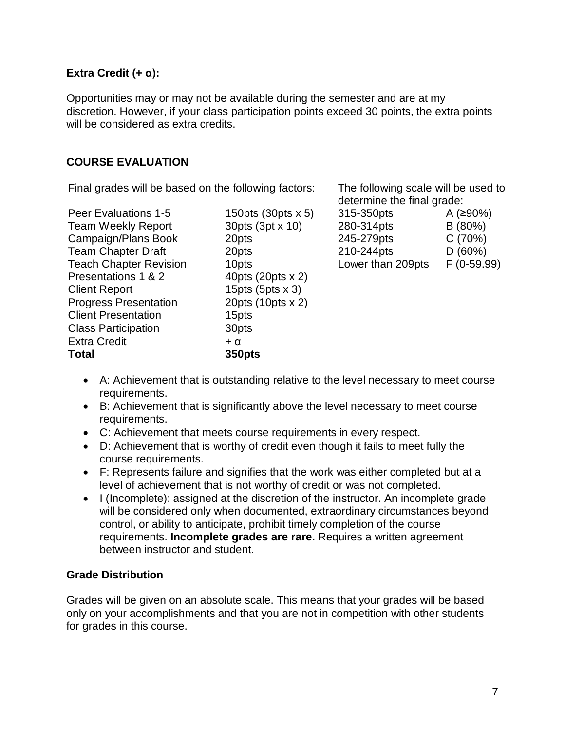#### **Extra Credit (+ α):**

Opportunities may or may not be available during the semester and are at my discretion. However, if your class participation points exceed 30 points, the extra points will be considered as extra credits.

#### **COURSE EVALUATION**

Final grades will be based on the following factors: The following scale will be used to

| 150pts $(30pts \times 5)$ | 315-350pts        | A (≥90%     |
|---------------------------|-------------------|-------------|
| 30pts (3pt x 10)          | 280-314pts        | B (80%)     |
| 20pts                     | 245-279pts        | C(70%)      |
| 20pts                     | 210-244pts        | D(60%)      |
| 10pts                     | Lower than 209pts | $F(0-59)$ . |
| 40pts (20pts x 2)         |                   |             |
| 15pts $(5pts \times 3)$   |                   |             |
| 20pts (10pts x 2)         |                   |             |
| 15pts                     |                   |             |
| 30pts                     |                   |             |
| $+ \alpha$                |                   |             |
| <b>350pts</b>             |                   |             |
|                           |                   |             |

determine the final grade: Peer Evaluations 1-50pts A (≥90%)

279pts 244pts r than 209pts C (70%) D (60%) F (0-59.99)

- A: Achievement that is outstanding relative to the level necessary to meet course requirements.
- B: Achievement that is significantly above the level necessary to meet course requirements.
- C: Achievement that meets course requirements in every respect.
- D: Achievement that is worthy of credit even though it fails to meet fully the course requirements.
- F: Represents failure and signifies that the work was either completed but at a level of achievement that is not worthy of credit or was not completed.
- I (Incomplete): assigned at the discretion of the instructor. An incomplete grade will be considered only when documented, extraordinary circumstances beyond control, or ability to anticipate, prohibit timely completion of the course requirements. **Incomplete grades are rare.** Requires a written agreement between instructor and student.

#### **Grade Distribution**

Grades will be given on an absolute scale. This means that your grades will be based only on your accomplishments and that you are not in competition with other students for grades in this course.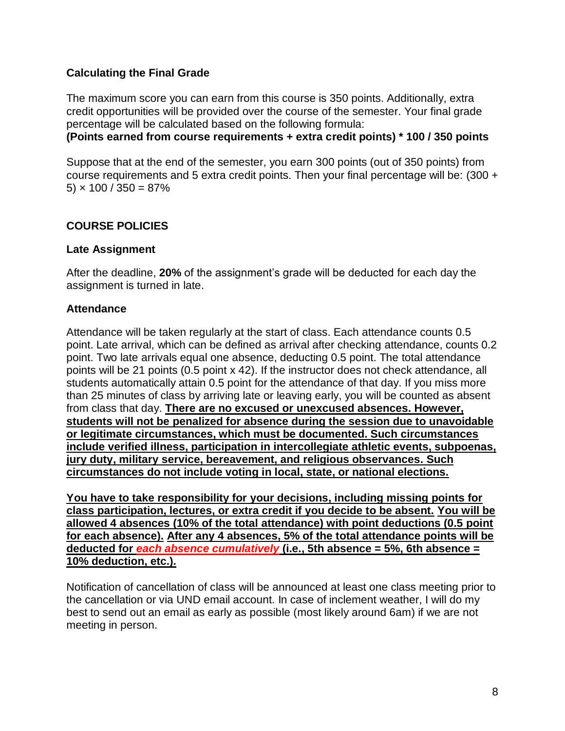#### **Calculating the Final Grade**

The maximum score you can earn from this course is 350 points. Additionally, extra credit opportunities will be provided over the course of the semester. Your final grade percentage will be calculated based on the following formula:

**(Points earned from course requirements + extra credit points) \* 100 / 350 points**

Suppose that at the end of the semester, you earn 300 points (out of 350 points) from course requirements and 5 extra credit points. Then your final percentage will be: (300 + 5)  $\times$  100 / 350 = 87%

#### **COURSE POLICIES**

#### **Late Assignment**

After the deadline, **20%** of the assignment's grade will be deducted for each day the assignment is turned in late.

#### **Attendance**

Attendance will be taken regularly at the start of class. Each attendance counts 0.5 point. Late arrival, which can be defined as arrival after checking attendance, counts 0.2 point. Two late arrivals equal one absence, deducting 0.5 point. The total attendance points will be 21 points (0.5 point x 42). If the instructor does not check attendance, all students automatically attain 0.5 point for the attendance of that day. If you miss more than 25 minutes of class by arriving late or leaving early, you will be counted as absent from class that day. **There are no excused or unexcused absences. However, students will not be penalized for absence during the session due to unavoidable or legitimate circumstances, which must be documented. Such circumstances include verified illness, participation in intercollegiate athletic events, subpoenas, jury duty, military service, bereavement, and religious observances. Such circumstances do not include voting in local, state, or national elections.**

**You have to take responsibility for your decisions, including missing points for class participation, lectures, or extra credit if you decide to be absent. You will be allowed 4 absences (10% of the total attendance) with point deductions (0.5 point for each absence). After any 4 absences, 5% of the total attendance points will be deducted for** *each absence cumulatively* **(i.e., 5th absence = 5%, 6th absence = 10% deduction, etc.).**

Notification of cancellation of class will be announced at least one class meeting prior to the cancellation or via UND email account. In case of inclement weather, I will do my best to send out an email as early as possible (most likely around 6am) if we are not meeting in person.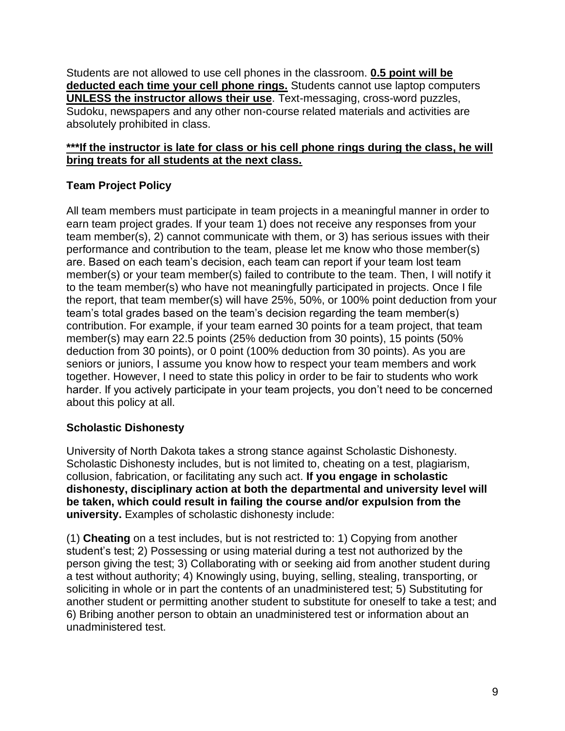Students are not allowed to use cell phones in the classroom. **0.5 point will be deducted each time your cell phone rings.** Students cannot use laptop computers **UNLESS the instructor allows their use**. Text-messaging, cross-word puzzles, Sudoku, newspapers and any other non-course related materials and activities are absolutely prohibited in class.

#### **\*\*\*If the instructor is late for class or his cell phone rings during the class, he will bring treats for all students at the next class.**

# **Team Project Policy**

All team members must participate in team projects in a meaningful manner in order to earn team project grades. If your team 1) does not receive any responses from your team member(s), 2) cannot communicate with them, or 3) has serious issues with their performance and contribution to the team, please let me know who those member(s) are. Based on each team's decision, each team can report if your team lost team member(s) or your team member(s) failed to contribute to the team. Then, I will notify it to the team member(s) who have not meaningfully participated in projects. Once I file the report, that team member(s) will have 25%, 50%, or 100% point deduction from your team's total grades based on the team's decision regarding the team member(s) contribution. For example, if your team earned 30 points for a team project, that team member(s) may earn 22.5 points (25% deduction from 30 points), 15 points (50% deduction from 30 points), or 0 point (100% deduction from 30 points). As you are seniors or juniors, I assume you know how to respect your team members and work together. However, I need to state this policy in order to be fair to students who work harder. If you actively participate in your team projects, you don't need to be concerned about this policy at all.

# **Scholastic Dishonesty**

University of North Dakota takes a strong stance against Scholastic Dishonesty. Scholastic Dishonesty includes, but is not limited to, cheating on a test, plagiarism, collusion, fabrication, or facilitating any such act. **If you engage in scholastic dishonesty, disciplinary action at both the departmental and university level will be taken, which could result in failing the course and/or expulsion from the university.** Examples of scholastic dishonesty include:

(1) **Cheating** on a test includes, but is not restricted to: 1) Copying from another student's test; 2) Possessing or using material during a test not authorized by the person giving the test; 3) Collaborating with or seeking aid from another student during a test without authority; 4) Knowingly using, buying, selling, stealing, transporting, or soliciting in whole or in part the contents of an unadministered test; 5) Substituting for another student or permitting another student to substitute for oneself to take a test; and 6) Bribing another person to obtain an unadministered test or information about an unadministered test.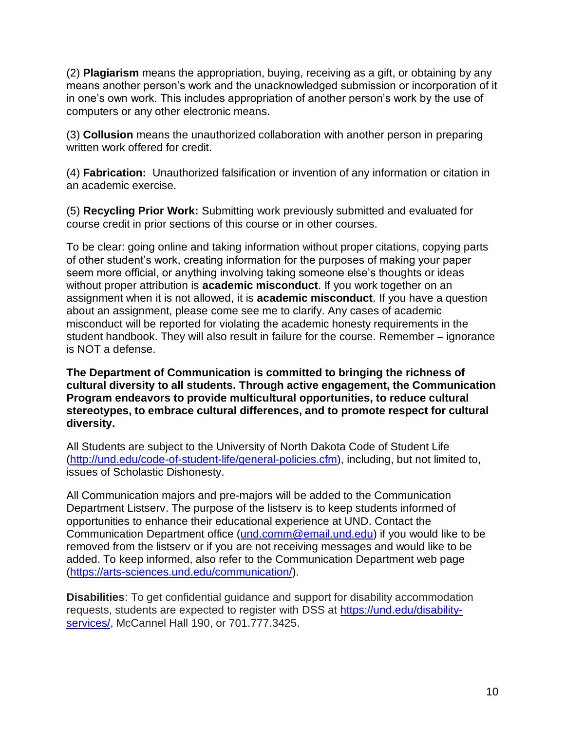(2) **Plagiarism** means the appropriation, buying, receiving as a gift, or obtaining by any means another person's work and the unacknowledged submission or incorporation of it in one's own work. This includes appropriation of another person's work by the use of computers or any other electronic means.

(3) **Collusion** means the unauthorized collaboration with another person in preparing written work offered for credit.

(4) **Fabrication:** Unauthorized falsification or invention of any information or citation in an academic exercise.

(5) **Recycling Prior Work:** Submitting work previously submitted and evaluated for course credit in prior sections of this course or in other courses.

To be clear: going online and taking information without proper citations, copying parts of other student's work, creating information for the purposes of making your paper seem more official, or anything involving taking someone else's thoughts or ideas without proper attribution is **academic misconduct**. If you work together on an assignment when it is not allowed, it is **academic misconduct**. If you have a question about an assignment, please come see me to clarify. Any cases of academic misconduct will be reported for violating the academic honesty requirements in the student handbook. They will also result in failure for the course. Remember – ignorance is NOT a defense.

**The Department of Communication is committed to bringing the richness of cultural diversity to all students. Through active engagement, the Communication Program endeavors to provide multicultural opportunities, to reduce cultural stereotypes, to embrace cultural differences, and to promote respect for cultural diversity.**

All Students are subject to the University of North Dakota Code of Student Life [\(http://und.edu/code-of-student-life/general-policies.cfm\)](http://und.edu/code-of-student-life/general-policies.cfm), including, but not limited to, issues of Scholastic Dishonesty.

All Communication majors and pre-majors will be added to the Communication Department Listserv. The purpose of the listserv is to keep students informed of opportunities to enhance their educational experience at UND. Contact the Communication Department office [\(und.comm@email.und.edu\)](mailto:und.comm@email.und.edu) if you would like to be removed from the listserv or if you are not receiving messages and would like to be added. To keep informed, also refer to the Communication Department web page (https://arts-sciences.und.edu/communication/).

**Disabilities**: To get confidential guidance and support for disability accommodation requests, students are expected to register with DSS at [https://und.edu/disability](https://und.edu/disability-services/)[services/,](https://und.edu/disability-services/) McCannel Hall 190, or 701.777.3425.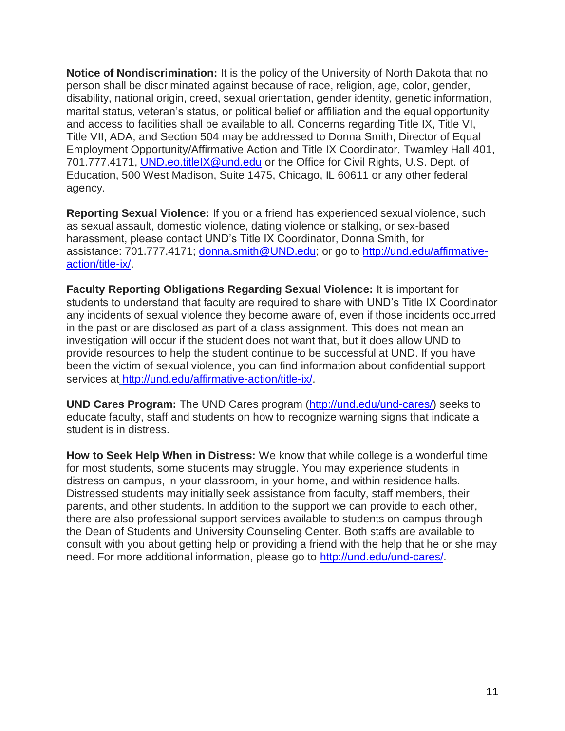**Notice of Nondiscrimination:** It is the policy of the University of North Dakota that no person shall be discriminated against because of race, religion, age, color, gender, disability, national origin, creed, sexual orientation, gender identity, genetic information, marital status, veteran's status, or political belief or affiliation and the equal opportunity and access to facilities shall be available to all. Concerns regarding Title IX, Title VI, Title VII, ADA, and Section 504 may be addressed to Donna Smith, Director of Equal Employment Opportunity/Affirmative Action and Title IX Coordinator, Twamley Hall 401, 701.777.4171, [UND.eo.titleIX@und.edu](mailto:UND.eo.titleIX@und.edu) or the Office for Civil Rights, U.S. Dept. of Education, 500 West Madison, Suite 1475, Chicago, IL 60611 or any other federal agency.

**Reporting Sexual Violence:** If you or a friend has experienced sexual violence, such as sexual assault, domestic violence, dating violence or stalking, or sex-based harassment, please contact UND's Title IX Coordinator, Donna Smith, for assistance: 701.777.4171; [donna.smith@UND.edu;](mailto:donna.smith@UND.edu) or go to [http://und.edu/affirmative](http://und.edu/affirmative-action/title-ix/)[action/title-ix/.](http://und.edu/affirmative-action/title-ix/)

**Faculty Reporting Obligations Regarding Sexual Violence:** It is important for students to understand that faculty are required to share with UND's Title IX Coordinator any incidents of sexual violence they become aware of, even if those incidents occurred in the past or are disclosed as part of a class assignment. This does not mean an investigation will occur if the student does not want that, but it does allow UND to provide resources to help the student continue to be successful at UND. If you have been the victim of sexual violence, you can find information about confidential support services at [http://und.edu/affirmative-action/title-ix/.](http://und.edu/affirmative-action/title-ix/)

**UND Cares Program:** The UND Cares program [\(http://und.edu/und-cares/\)](http://und.edu/und-cares/) seeks to educate faculty, staff and students on how to recognize warning signs that indicate a student is in distress.

**How to Seek Help When in Distress:** We know that while college is a wonderful time for most students, some students may struggle. You may experience students in distress on campus, in your classroom, in your home, and within residence halls. Distressed students may initially seek assistance from faculty, staff members, their parents, and other students. In addition to the support we can provide to each other, there are also professional support services available to students on campus through the Dean of Students and University Counseling Center. Both staffs are available to consult with you about getting help or providing a friend with the help that he or she may need. For more additional information, please go to [http://und.edu/und-cares/.](http://und.edu/und-cares/)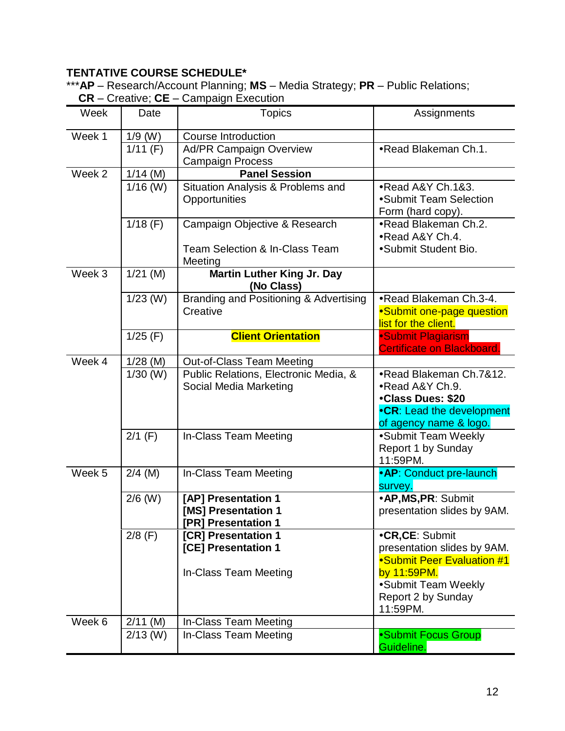# **TENTATIVE COURSE SCHEDULE\***

\*\*\***AP** – Research/Account Planning; **MS** – Media Strategy; **PR** – Public Relations;  **CR** – Creative; **CE** – Campaign Execution

| $O$ $O$ $O$ $O$ $O$ $O$ $O$ $O$ |            | Odinpuign LACOution                                                                   |                                                                                                                                                     |
|---------------------------------|------------|---------------------------------------------------------------------------------------|-----------------------------------------------------------------------------------------------------------------------------------------------------|
| Week                            | Date       | <b>Topics</b>                                                                         | Assignments                                                                                                                                         |
| Week 1                          | $1/9$ (W)  | <b>Course Introduction</b>                                                            |                                                                                                                                                     |
|                                 | $1/11$ (F) | <b>Ad/PR Campaign Overview</b><br><b>Campaign Process</b>                             | •Read Blakeman Ch.1.                                                                                                                                |
| Week 2                          | $1/14$ (M) | <b>Panel Session</b>                                                                  |                                                                                                                                                     |
|                                 | $1/16$ (W) | Situation Analysis & Problems and<br>Opportunities                                    | •Read A&Y Ch.1&3.<br>•Submit Team Selection<br>Form (hard copy).                                                                                    |
|                                 | $1/18$ (F) | Campaign Objective & Research<br><b>Team Selection &amp; In-Class Team</b><br>Meeting | •Read Blakeman Ch.2.<br>•Read A&Y Ch.4.<br>•Submit Student Bio.                                                                                     |
| Week 3                          | $1/21$ (M) | <b>Martin Luther King Jr. Day</b><br>(No Class)                                       |                                                                                                                                                     |
|                                 | $1/23$ (W) | Branding and Positioning & Advertising<br>Creative                                    | •Read Blakeman Ch.3-4.<br>•Submit one-page question<br>list for the client.                                                                         |
|                                 | $1/25$ (F) | <b>Client Orientation</b>                                                             | •Submit Plagiarism<br>Certificate on Blackboard.                                                                                                    |
| Week 4                          | $1/28$ (M) | <b>Out-of-Class Team Meeting</b>                                                      |                                                                                                                                                     |
|                                 | $1/30$ (W) | Public Relations, Electronic Media, &<br>Social Media Marketing                       | •Read Blakeman Ch.7&12.<br>•Read A&Y Ch.9.<br>•Class Dues: \$20<br>•CR: Lead the development<br>of agency name & logo.                              |
|                                 | $2/1$ (F)  | In-Class Team Meeting                                                                 | •Submit Team Weekly<br>Report 1 by Sunday<br>11:59PM.                                                                                               |
| Week 5                          | $2/4$ (M)  | In-Class Team Meeting                                                                 | • AP: Conduct pre-launch<br>survey.                                                                                                                 |
|                                 | $2/6$ (W)  | [AP] Presentation 1<br>[MS] Presentation 1<br>[PR] Presentation 1                     | ·AP, MS, PR: Submit<br>presentation slides by 9AM.                                                                                                  |
|                                 | $2/8$ (F)  | [CR] Presentation 1<br>[CE] Presentation 1<br>In-Class Team Meeting                   | •CR,CE: Submit<br>presentation slides by 9AM.<br>•Submit Peer Evaluation #1<br>by 11:59PM.<br>•Submit Team Weekly<br>Report 2 by Sunday<br>11:59PM. |
| Week 6                          | $2/11$ (M) | In-Class Team Meeting                                                                 |                                                                                                                                                     |
|                                 | $2/13$ (W) | In-Class Team Meeting                                                                 | •Submit Focus Group<br>Guideline.                                                                                                                   |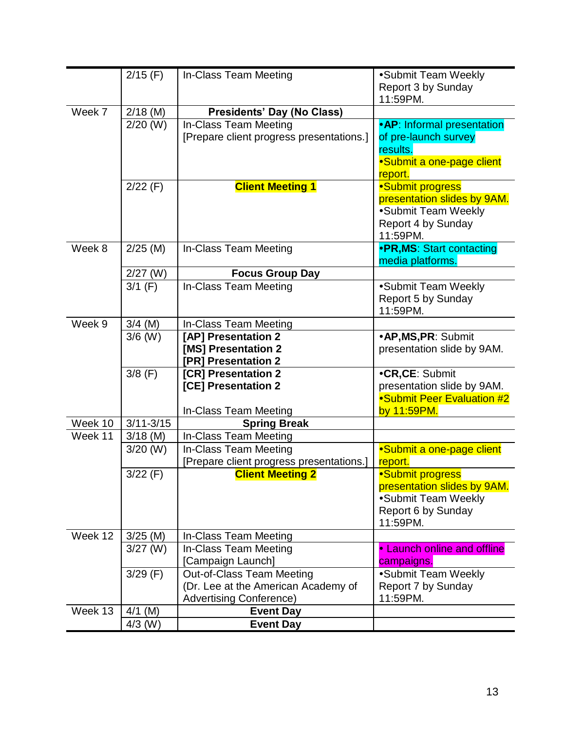|         | $2/15$ (F)    | In-Class Team Meeting                    | •Submit Team Weekly         |
|---------|---------------|------------------------------------------|-----------------------------|
|         |               |                                          | Report 3 by Sunday          |
|         |               |                                          | 11:59PM.                    |
| Week 7  | $2/18$ (M)    | <b>Presidents' Day (No Class)</b>        |                             |
|         | $2/20$ (W)    | In-Class Team Meeting                    | • AP: Informal presentation |
|         |               | [Prepare client progress presentations.] | of pre-launch survey        |
|         |               |                                          | results.                    |
|         |               |                                          | •Submit a one-page client   |
|         |               |                                          | report.                     |
|         | $2/22$ (F)    | <b>Client Meeting 1</b>                  | •Submit progress            |
|         |               |                                          | presentation slides by 9AM. |
|         |               |                                          | •Submit Team Weekly         |
|         |               |                                          | Report 4 by Sunday          |
|         |               |                                          | 11:59PM.                    |
| Week 8  | $2/25$ (M)    | In-Class Team Meeting                    | •PR, MS: Start contacting   |
|         |               |                                          | media platforms.            |
|         | $2/27$ (W)    | <b>Focus Group Day</b>                   |                             |
|         | $3/1$ (F)     | <b>In-Class Team Meeting</b>             | •Submit Team Weekly         |
|         |               |                                          | Report 5 by Sunday          |
|         |               |                                          | 11:59PM.                    |
| Week 9  | $3/4$ (M)     | In-Class Team Meeting                    |                             |
|         | $3/6$ (W)     | [AP] Presentation 2                      | •AP, MS, PR: Submit         |
|         |               | [MS] Presentation 2                      | presentation slide by 9AM.  |
|         |               | [PR] Presentation 2                      |                             |
|         | $3/8$ (F)     | [CR] Presentation 2                      | •CR,CE: Submit              |
|         |               | [CE] Presentation 2                      | presentation slide by 9AM.  |
|         |               |                                          | •Submit Peer Evaluation #2  |
|         |               | In-Class Team Meeting                    | by 11:59PM.                 |
| Week 10 | $3/11 - 3/15$ | <b>Spring Break</b>                      |                             |
| Week 11 | $3/18$ (M)    | In-Class Team Meeting                    |                             |
|         | $3/20$ (W)    | In-Class Team Meeting                    | •Submit a one-page client   |
|         |               | [Prepare client progress presentations.] | report.                     |
|         | $3/22$ (F)    | <b>Client Meeting 2</b>                  | •Submit progress            |
|         |               |                                          | presentation slides by 9AM. |
|         |               |                                          | •Submit Team Weekly         |
|         |               |                                          | Report 6 by Sunday          |
|         |               |                                          | 11:59PM.                    |
| Week 12 | $3/25$ (M)    | In-Class Team Meeting                    |                             |
|         | $3/27$ (W)    | In-Class Team Meeting                    | • Launch online and offline |
|         |               | [Campaign Launch]                        | campaigns.                  |
|         | 3/29(F)       | Out-of-Class Team Meeting                | •Submit Team Weekly         |
|         |               | (Dr. Lee at the American Academy of      | Report 7 by Sunday          |
|         |               | <b>Advertising Conference)</b>           | 11:59PM.                    |
| Week 13 | $4/1$ (M)     | <b>Event Day</b>                         |                             |
|         | $4/3$ (W)     | <b>Event Day</b>                         |                             |